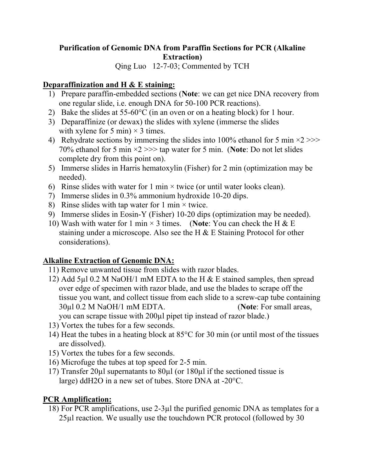## **Purification of Genomic DNA from Paraffin Sections for PCR (Alkaline Extraction)**

Qing Luo 12-7-03; Commented by TCH

## **Deparaffinization and H & E staining:**

- 1) Prepare paraffin-embedded sections (**Note**: we can get nice DNA recovery from one regular slide, i.e. enough DNA for 50-100 PCR reactions).
- 2) Bake the slides at  $55-60^{\circ}$ C (in an oven or on a heating block) for 1 hour.
- 3) Deparaffinize (or dewax) the slides with xylene (immerse the slides with xylene for 5 min)  $\times$  3 times.
- 4) Rehydrate sections by immersing the slides into 100% ethanol for 5 min  $\times$ 2 $\gg$ 70% ethanol for 5 min ×2 >>> tap water for 5 min. (**Note**: Do not let slides complete dry from this point on).
- 5) Immerse slides in Harris hematoxylin (Fisher) for 2 min (optimization may be needed).
- 6) Rinse slides with water for 1 min  $\times$  twice (or until water looks clean).
- 7) Immerse slides in 0.3% ammonium hydroxide 10-20 dips.
- 8) Rinse slides with tap water for 1 min  $\times$  twice.
- 9) Immerse slides in Eosin-Y (Fisher) 10-20 dips (optimization may be needed).
- 10) Wash with water for 1 min × 3 times. (**Note**: You can check the H & E staining under a microscope. Also see the H & E Staining Protocol for other considerations).

## **Alkaline Extraction of Genomic DNA:**

- 11) Remove unwanted tissue from slides with razor blades.
- 12) Add 5µl 0.2 M NaOH/1 mM EDTA to the H & E stained samples, then spread over edge of specimen with razor blade, and use the blades to scrape off the tissue you want, and collect tissue from each slide to a screw-cap tube containing 30µl 0.2 M NaOH/1 mM EDTA. (**Note**: For small areas,

you can scrape tissue with 200µl pipet tip instead of razor blade.)

- 13) Vortex the tubes for a few seconds.
- 14) Heat the tubes in a heating block at 85°C for 30 min (or until most of the tissues are dissolved).
- 15) Vortex the tubes for a few seconds.
- 16) Microfuge the tubes at top speed for 2-5 min.
- 17) Transfer 20µl supernatants to 80µl (or 180µl if the sectioned tissue is large) ddH2O in a new set of tubes. Store DNA at -20°C.

## **PCR Amplification:**

18) For PCR amplifications, use 2-3µl the purified genomic DNA as templates for a 25µl reaction. We usually use the touchdown PCR protocol (followed by 30